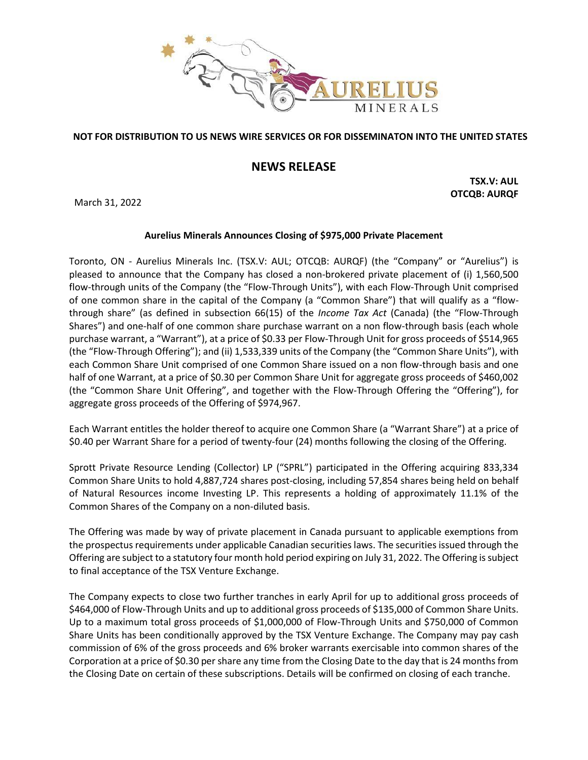

## **NOT FOR DISTRIBUTION TO US NEWS WIRE SERVICES OR FOR DISSEMINATON INTO THE UNITED STATES**

# **NEWS RELEASE**

March 31, 2022

**TSX.V: AUL OTCQB: AURQF**

### **Aurelius Minerals Announces Closing of \$975,000 Private Placement**

Toronto, ON - Aurelius Minerals Inc. (TSX.V: AUL; OTCQB: AURQF) (the "Company" or "Aurelius") is pleased to announce that the Company has closed a non-brokered private placement of (i) 1,560,500 flow-through units of the Company (the "Flow-Through Units"), with each Flow-Through Unit comprised of one common share in the capital of the Company (a "Common Share") that will qualify as a "flowthrough share" (as defined in subsection 66(15) of the *Income Tax Act* (Canada) (the "Flow-Through Shares") and one-half of one common share purchase warrant on a non flow-through basis (each whole purchase warrant, a "Warrant"), at a price of \$0.33 per Flow-Through Unit for gross proceeds of \$514,965 (the "Flow-Through Offering"); and (ii) 1,533,339 units of the Company (the "Common Share Units"), with each Common Share Unit comprised of one Common Share issued on a non flow-through basis and one half of one Warrant, at a price of \$0.30 per Common Share Unit for aggregate gross proceeds of \$460,002 (the "Common Share Unit Offering", and together with the Flow-Through Offering the "Offering"), for aggregate gross proceeds of the Offering of \$974,967.

Each Warrant entitles the holder thereof to acquire one Common Share (a "Warrant Share") at a price of \$0.40 per Warrant Share for a period of twenty-four (24) months following the closing of the Offering.

Sprott Private Resource Lending (Collector) LP ("SPRL") participated in the Offering acquiring 833,334 Common Share Units to hold 4,887,724 shares post-closing, including 57,854 shares being held on behalf of Natural Resources income Investing LP. This represents a holding of approximately 11.1% of the Common Shares of the Company on a non-diluted basis.

The Offering was made by way of private placement in Canada pursuant to applicable exemptions from the prospectus requirements under applicable Canadian securities laws. The securities issued through the Offering are subject to a statutory four month hold period expiring on July 31, 2022. The Offering is subject to final acceptance of the TSX Venture Exchange.

The Company expects to close two further tranches in early April for up to additional gross proceeds of \$464,000 of Flow-Through Units and up to additional gross proceeds of \$135,000 of Common Share Units. Up to a maximum total gross proceeds of \$1,000,000 of Flow-Through Units and \$750,000 of Common Share Units has been conditionally approved by the TSX Venture Exchange. The Company may pay cash commission of 6% of the gross proceeds and 6% broker warrants exercisable into common shares of the Corporation at a price of \$0.30 per share any time from the Closing Date to the day that is 24 months from the Closing Date on certain of these subscriptions. Details will be confirmed on closing of each tranche.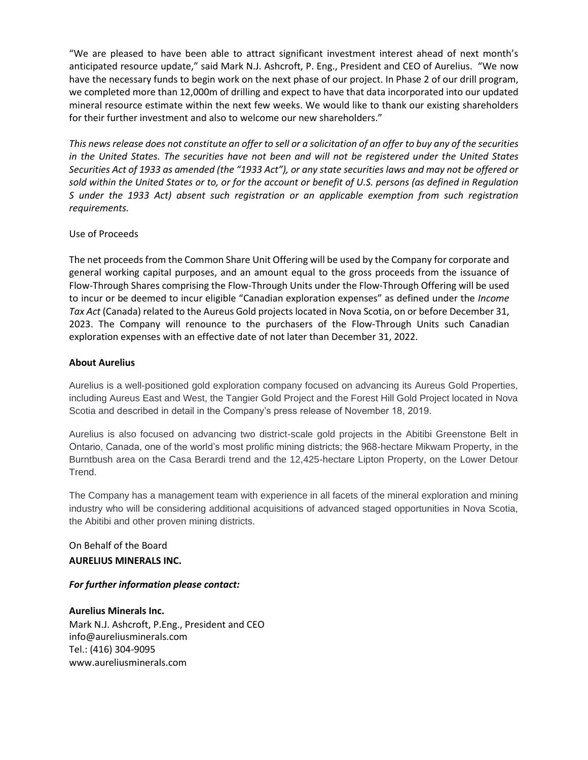"We are pleased to have been able to attract significant investment interest ahead of next month's anticipated resource update," said Mark N.J. Ashcroft, P. Eng., President and CEO of Aurelius. "We now have the necessary funds to begin work on the next phase of our project. In Phase 2 of our drill program, we completed more than 12,000m of drilling and expect to have that data incorporated into our updated mineral resource estimate within the next few weeks. We would like to thank our existing shareholders for their further investment and also to welcome our new shareholders."

*This news release does not constitute an offer to sell or a solicitation of an offer to buy any of the securities in the United States. The securities have not been and will not be registered under the United States Securities Act of 1933 as amended (the "1933 Act"), or any state securities laws and may not be offered or sold within the United States or to, or for the account or benefit of U.S. persons (as defined in Regulation S under the 1933 Act) absent such registration or an applicable exemption from such registration requirements.*

### Use of Proceeds

The net proceeds from the Common Share Unit Offering will be used by the Company for corporate and general working capital purposes, and an amount equal to the gross proceeds from the issuance of Flow-Through Shares comprising the Flow-Through Units under the Flow-Through Offering will be used to incur or be deemed to incur eligible "Canadian exploration expenses" as defined under the *Income Tax Act* (Canada) related to the Aureus Gold projects located in Nova Scotia, on or before December 31, 2023. The Company will renounce to the purchasers of the Flow-Through Units such Canadian exploration expenses with an effective date of not later than December 31, 2022.

### **About Aurelius**

Aurelius is a well-positioned gold exploration company focused on advancing its Aureus Gold Properties, including Aureus East and West, the Tangier Gold Project and the Forest Hill Gold Project located in Nova Scotia and described in detail in the Company's press release of November 18, 2019.

Aurelius is also focused on advancing two district-scale gold projects in the Abitibi Greenstone Belt in Ontario, Canada, one of the world's most prolific mining districts; the 968-hectare Mikwam Property, in the Burntbush area on the Casa Berardi trend and the 12,425-hectare Lipton Property, on the Lower Detour Trend.

The Company has a management team with experience in all facets of the mineral exploration and mining industry who will be considering additional acquisitions of advanced staged opportunities in Nova Scotia, the Abitibi and other proven mining districts.

# On Behalf of the Board **AURELIUS MINERALS INC.**

*For further information please contact:*

**Aurelius Minerals Inc.** Mark N.J. Ashcroft, P.Eng., President and CEO info@aureliusminerals.com Tel.: (416) 304-9095 www.aureliusminerals.com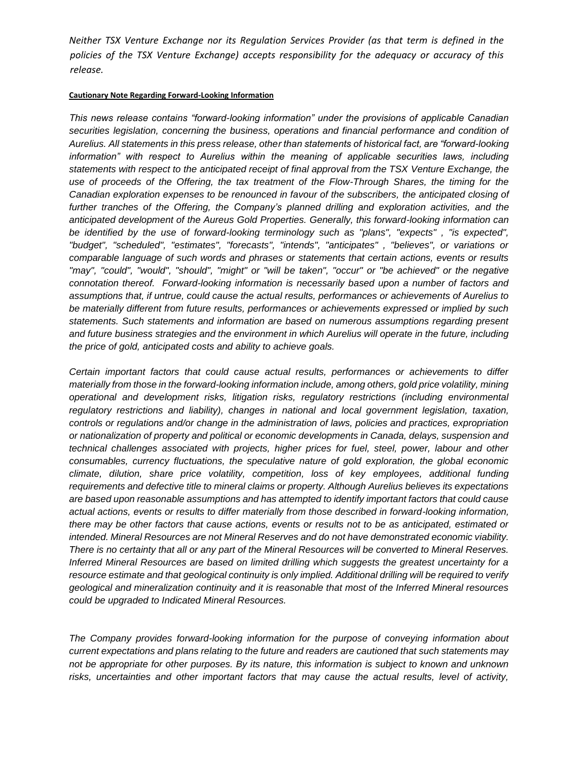*Neither TSX Venture Exchange nor its Regulation Services Provider (as that term is defined in the policies of the TSX Venture Exchange) accepts responsibility for the adequacy or accuracy of this release.*

#### **Cautionary Note Regarding Forward-Looking Information**

*This news release contains "forward-looking information" under the provisions of applicable Canadian securities legislation, concerning the business, operations and financial performance and condition of Aurelius. All statements in this press release, other than statements of historical fact, are "forward-looking information" with respect to Aurelius within the meaning of applicable securities laws, including statements with respect to the anticipated receipt of final approval from the TSX Venture Exchange, the use of proceeds of the Offering, the tax treatment of the Flow-Through Shares, the timing for the Canadian exploration expenses to be renounced in favour of the subscribers, the anticipated closing of further tranches of the Offering, the Company's planned drilling and exploration activities, and the anticipated development of the Aureus Gold Properties. Generally, this forward-looking information can be identified by the use of forward-looking terminology such as "plans", "expects" , "is expected", "budget", "scheduled", "estimates", "forecasts", "intends", "anticipates" , "believes", or variations or comparable language of such words and phrases or statements that certain actions, events or results "may", "could", "would", "should", "might" or "will be taken", "occur" or "be achieved" or the negative connotation thereof. Forward-looking information is necessarily based upon a number of factors and assumptions that, if untrue, could cause the actual results, performances or achievements of Aurelius to be materially different from future results, performances or achievements expressed or implied by such statements. Such statements and information are based on numerous assumptions regarding present and future business strategies and the environment in which Aurelius will operate in the future, including the price of gold, anticipated costs and ability to achieve goals.* 

*Certain important factors that could cause actual results, performances or achievements to differ materially from those in the forward-looking information include, among others, gold price volatility, mining operational and development risks, litigation risks, regulatory restrictions (including environmental*  regulatory restrictions and liability), changes in national and local government legislation, taxation, *controls or regulations and/or change in the administration of laws, policies and practices, expropriation or nationalization of property and political or economic developments in Canada, delays, suspension and technical challenges associated with projects, higher prices for fuel, steel, power, labour and other consumables, currency fluctuations, the speculative nature of gold exploration, the global economic climate, dilution, share price volatility, competition, loss of key employees, additional funding requirements and defective title to mineral claims or property. Although Aurelius believes its expectations are based upon reasonable assumptions and has attempted to identify important factors that could cause actual actions, events or results to differ materially from those described in forward-looking information, there may be other factors that cause actions, events or results not to be as anticipated, estimated or intended. Mineral Resources are not Mineral Reserves and do not have demonstrated economic viability. There is no certainty that all or any part of the Mineral Resources will be converted to Mineral Reserves. Inferred Mineral Resources are based on limited drilling which suggests the greatest uncertainty for a*  resource estimate and that geological continuity is only implied. Additional drilling will be required to verify *geological and mineralization continuity and it is reasonable that most of the Inferred Mineral resources could be upgraded to Indicated Mineral Resources.*

*The Company provides forward-looking information for the purpose of conveying information about current expectations and plans relating to the future and readers are cautioned that such statements may not be appropriate for other purposes. By its nature, this information is subject to known and unknown risks, uncertainties and other important factors that may cause the actual results, level of activity,*